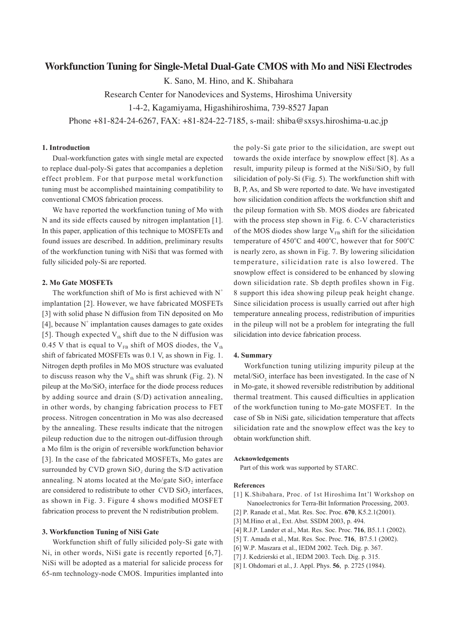# **Workfunction Tuning for Single-Metal Dual-Gate CMOS with Mo and NiSi Electrodes**

K. Sano, M. Hino, and K. Shibahara

Research Center for Nanodevices and Systems, Hiroshima University

1-4-2, Kagamiyama, Higashihiroshima, 739-8527 Japan

Phone +81-824-24-6267, FAX: +81-824-22-7185, s-mail: shiba@sxsys.hiroshima-u.ac.jp

## **1. Introduction**

Dual-workfunction gates with single metal are expected to replace dual-poly-Si gates that accompanies a depletion effect problem. For that purpose metal workfunction tuning must be accomplished maintaining compatibility to conventional CMOS fabrication process.

We have reported the workfunction tuning of Mo with N and its side effects caused by nitrogen implantation [1]. In this paper, application of this technique to MOSFETs and found issues are described. In addition, preliminary results of the workfunction tuning with NiSi that was formed with fully silicided poly-Si are reported.

### **2. Mo Gate MOSFETs**

The workfunction shift of Mo is first achieved with  $N^+$ implantation [2]. However, we have fabricated MOSFETs [3] with solid phase N diffusion from TiN deposited on Mo [4], because  $N^+$  implantation causes damages to gate oxides [5]. Though expected  $V_{th}$  shift due to the N diffusion was 0.45 V that is equal to  $V_{FB}$  shift of MOS diodes, the  $V_{th}$ shift of fabricated MOSFETs was 0.1 V, as shown in Fig. 1. Nitrogen depth profiles in Mo MOS structure was evaluated to discuss reason why the  $V_{th}$  shift was shrunk (Fig. 2). N pileup at the Mo/SiO<sub>2</sub> interface for the diode process reduces by adding source and drain (S/D) activation annealing, in other words, by changing fabrication process to FET process. Nitrogen concentration in Mo was also decreased by the annealing. These results indicate that the nitrogen pileup reduction due to the nitrogen out-diffusion through a Mo film is the origin of reversible workfunction behavior [3]. In the case of the fabricated MOSFETs, Mo gates are surrounded by CVD grown  $SiO<sub>2</sub>$  during the S/D activation annealing. N atoms located at the Mo/gate  $SiO<sub>2</sub>$  interface are considered to redistribute to other  $CVD$   $SiO<sub>2</sub>$  interfaces, as shown in Fig. 3. Figure 4 shows modified MOSFET fabrication process to prevent the N redistribution problem.

### **3. Workfunction Tuning of NiSi Gate**

Workfunction shift of fully silicided poly-Si gate with Ni, in other words, NiSi gate is recently reported [6,7]. NiSi will be adopted as a material for salicide process for 65-nm technology-node CMOS. Impurities implanted into the poly-Si gate prior to the silicidation, are swept out towards the oxide interface by snowplow effect [8]. As a result, impurity pileup is formed at the  $NiSi/SiO<sub>2</sub>$  by full silicidation of poly-Si (Fig. 5). The workfunction shift with B, P, As, and Sb were reported to date. We have investigated how silicidation condition affects the workfunction shift and the pileup formation with Sb. MOS diodes are fabricated with the process step shown in Fig. 6. C-V characteristics of the MOS diodes show large  $V_{FB}$  shift for the silicidation temperature of  $450^{\circ}$ C and  $400^{\circ}$ C, however that for  $500^{\circ}$ C is nearly zero, as shown in Fig. 7. By lowering silicidation temperature, silicidation rate is also lowered. The snowplow effect is considered to be enhanced by slowing down silicidation rate. Sb depth profiles shown in Fig. 8 support this idea showing pileup peak height change. Since silicidation process is usually carried out after high temperature annealing process, redistribution of impurities in the pileup will not be a problem for integrating the full silicidation into device fabrication process.

#### **4. Summary**

Workfunction tuning utilizing impurity pileup at the metal/ $SiO<sub>2</sub>$  interface has been investigated. In the case of N in Mo-gate, it showed reversible redistribution by additional thermal treatment. This caused difficulties in application of the workfunction tuning to Mo-gate MOSFET. In the case of Sb in NiSi gate, silicidation temperature that affects silicidation rate and the snowplow effect was the key to obtain workfunction shift.

### **Acknowledgements**

Part of this work was supported by STARC.

#### **References**

- [1] K.Shibahara, Proc. of 1st Hiroshima Int'l Workshop on Nanoelectronics for Terra-Bit Information Processing, 2003.
- [2] P. Ranade et al., Mat. Res. Soc. Proc. **670**, K5.2.1(2001).
- [3] M.Hino et al., Ext. Abst. SSDM 2003, p. 494.
- [4] R.J.P. Lander et al., Mat. Res. Soc. Proc. **716**, B5.1.1 (2002).
- [5] T. Amada et al., Mat. Res. Soc. Proc. **716**, B7.5.1 (2002).
- [6] W.P. Maszara et al., IEDM 2002. Tech. Dig. p. 367.
- [7] J. Kedzierski et al., IEDM 2003. Tech. Dig. p. 315.
- [8] I. Ohdomari et al., J. Appl. Phys. **56**, p. 2725 (1984).